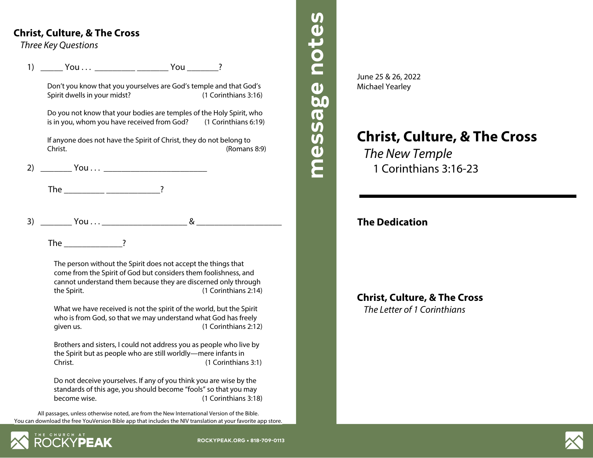## **Christ, Culture, & The Cross**

*Three Key Questions*

1) \_\_\_\_\_ You . . . \_\_\_\_\_\_\_\_\_ \_\_\_\_\_\_\_ You \_\_\_\_\_\_\_?

Don't you know that you yourselves are God's temple and that God's Spirit dwells in your midst? (1 Corinthians 3:16)

Do you not know that your bodies are temples of the Holy Spirit, who is in you, whom you have received from God? (1 Corinthians 6:19)

If anyone does not have the Spirit of Christ, they do not belong to Christ. (Romans 8:9)

2) \_\_\_\_\_\_\_ You . . . \_\_\_\_\_\_\_\_\_\_\_\_\_\_\_\_\_\_\_\_\_\_\_

The  $\qquad \qquad$  ?

 $3)$   $\begin{array}{c} \text{You...} \\ \text{You...} \end{array}$ 

The  $\overline{\phantom{a}}$  ?

The person without the Spirit does not accept the things that come from the Spirit of God but considers them foolishness, and cannot understand them because they are discerned only through the Spirit. (1 Corinthians 2:14)

What we have received is not the spirit of the world, but the Spirit who is from God, so that we may understand what God has freely given us. (1 Corinthians 2:12)

Brothers and sisters, I could not address you as people who live by the Spirit but as people who are still worldly—mere infants in Christ. (1 Corinthians 3:1)

Do not deceive yourselves. If any of you think you are wise by the standards of this age, you should become "fools" so that you may become wise. (1 Corinthians 3:18)

All passages, unless otherwise noted, are from the New International Version of the Bible. You can download the free YouVersion Bible app that includes the NIV translation at your favorite app store.





**message notes message notes**

message notes

# **Christ, Culture, & The Cross** *The New Temple* 1 Corinthians 3:16-23

## **The Dedication**

**Christ, Culture, & The Cross** *The Letter of 1 Corinthians*